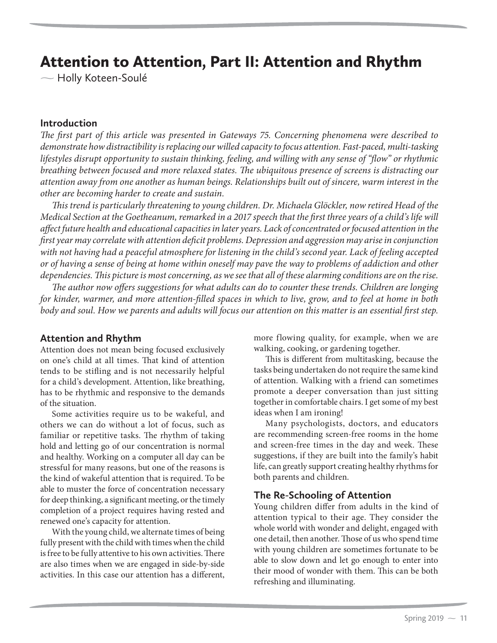# Attention to Attention, Part II: Attention and Rhythm

 $\sim$  Holly Koteen-Soulé

#### **Introduction**

*The first part of this article was presented in Gateways 75. Concerning phenomena were described to demonstrate how distractibility is replacing our willed capacity to focus attention. Fast-paced, multi-tasking lifestyles disrupt opportunity to sustain thinking, feeling, and willing with any sense of "flow" or rhythmic breathing between focused and more relaxed states. The ubiquitous presence of screens is distracting our attention away from one another as human beings. Relationships built out of sincere, warm interest in the other are becoming harder to create and sustain.*

*This trend is particularly threatening to young children. Dr. Michaela Glöckler, now retired Head of the Medical Section at the Goetheanum, remarked in a 2017 speech that the first three years of a child's life will affect future health and educational capacities in later years. Lack of concentrated or focused attention in the first year may correlate with attention deficit problems. Depression and aggression may arise in conjunction with not having had a peaceful atmosphere for listening in the child's second year. Lack of feeling accepted or of having a sense of being at home within oneself may pave the way to problems of addiction and other dependencies. This picture is most concerning, as we see that all of these alarming conditions are on the rise.*

*The author now offers suggestions for what adults can do to counter these trends. Children are longing for kinder, warmer, and more attention-filled spaces in which to live, grow, and to feel at home in both body and soul. How we parents and adults will focus our attention on this matter is an essential first step.*

# **Attention and Rhythm**

Attention does not mean being focused exclusively on one's child at all times. That kind of attention tends to be stifling and is not necessarily helpful for a child's development. Attention, like breathing, has to be rhythmic and responsive to the demands of the situation.

Some activities require us to be wakeful, and others we can do without a lot of focus, such as familiar or repetitive tasks. The rhythm of taking hold and letting go of our concentration is normal and healthy. Working on a computer all day can be stressful for many reasons, but one of the reasons is the kind of wakeful attention that is required. To be able to muster the force of concentration necessary for deep thinking, a significant meeting, or the timely completion of a project requires having rested and renewed one's capacity for attention.

With the young child, we alternate times of being fully present with the child with times when the child is free to be fully attentive to his own activities. There are also times when we are engaged in side-by-side activities. In this case our attention has a different,

more flowing quality, for example, when we are walking, cooking, or gardening together.

This is different from multitasking, because the tasks being undertaken do not require the same kind of attention. Walking with a friend can sometimes promote a deeper conversation than just sitting together in comfortable chairs. I get some of my best ideas when I am ironing!

Many psychologists, doctors, and educators are recommending screen-free rooms in the home and screen-free times in the day and week. These suggestions, if they are built into the family's habit life, can greatly support creating healthy rhythms for both parents and children.

# **The Re-Schooling of Attention**

Young children differ from adults in the kind of attention typical to their age. They consider the whole world with wonder and delight, engaged with one detail, then another. Those of us who spend time with young children are sometimes fortunate to be able to slow down and let go enough to enter into their mood of wonder with them. This can be both refreshing and illuminating.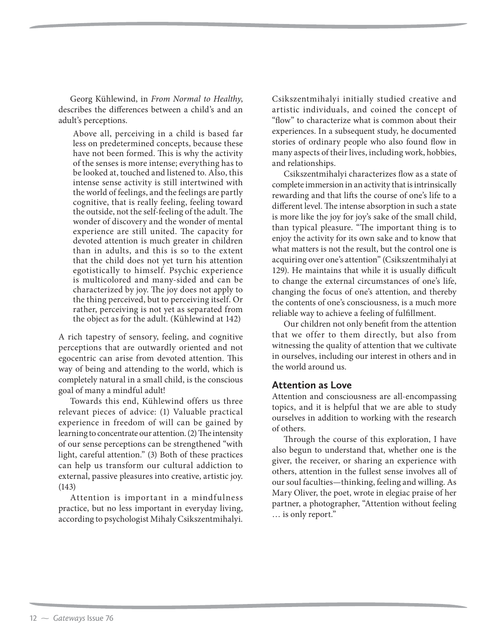Georg Kühlewind, in *From Normal to Healthy*, describes the differences between a child's and an adult's perceptions.

 Above all, perceiving in a child is based far less on predetermined concepts, because these have not been formed. This is why the activity of the senses is more intense; everything has to be looked at, touched and listened to. Also, this intense sense activity is still intertwined with the world of feelings, and the feelings are partly cognitive, that is really feeling, feeling toward the outside, not the self-feeling of the adult. The wonder of discovery and the wonder of mental experience are still united. The capacity for devoted attention is much greater in children than in adults, and this is so to the extent that the child does not yet turn his attention egotistically to himself. Psychic experience is multicolored and many-sided and can be characterized by joy. The joy does not apply to the thing perceived, but to perceiving itself. Or rather, perceiving is not yet as separated from the object as for the adult. (Kühlewind at 142)

A rich tapestry of sensory, feeling, and cognitive perceptions that are outwardly oriented and not egocentric can arise from devoted attention. This way of being and attending to the world, which is completely natural in a small child, is the conscious goal of many a mindful adult!

Towards this end, Kühlewind offers us three relevant pieces of advice: (1) Valuable practical experience in freedom of will can be gained by learning to concentrate our attention. (2) The intensity of our sense perceptions can be strengthened "with light, careful attention." (3) Both of these practices can help us transform our cultural addiction to external, passive pleasures into creative, artistic joy. (143)

Attention is important in a mindfulness practice, but no less important in everyday living, according to psychologist Mihaly Csikszentmihalyi. Csikszentmihalyi initially studied creative and artistic individuals, and coined the concept of "flow" to characterize what is common about their experiences. In a subsequent study, he documented stories of ordinary people who also found flow in many aspects of their lives, including work, hobbies, and relationships.

Csikszentmihalyi characterizes flow as a state of complete immersion in an activity that is intrinsically rewarding and that lifts the course of one's life to a different level. The intense absorption in such a state is more like the joy for joy's sake of the small child, than typical pleasure. "The important thing is to enjoy the activity for its own sake and to know that what matters is not the result, but the control one is acquiring over one's attention" (Csikszentmihalyi at 129). He maintains that while it is usually difficult to change the external circumstances of one's life, changing the focus of one's attention, and thereby the contents of one's consciousness, is a much more reliable way to achieve a feeling of fulfillment.

Our children not only benefit from the attention that we offer to them directly, but also from witnessing the quality of attention that we cultivate in ourselves, including our interest in others and in the world around us.

# **Attention as Love**

Attention and consciousness are all-encompassing topics, and it is helpful that we are able to study ourselves in addition to working with the research of others.

Through the course of this exploration, I have also begun to understand that, whether one is the giver, the receiver, or sharing an experience with others, attention in the fullest sense involves all of our soul faculties—thinking, feeling and willing. As Mary Oliver, the poet, wrote in elegiac praise of her partner, a photographer, "Attention without feeling … is only report."